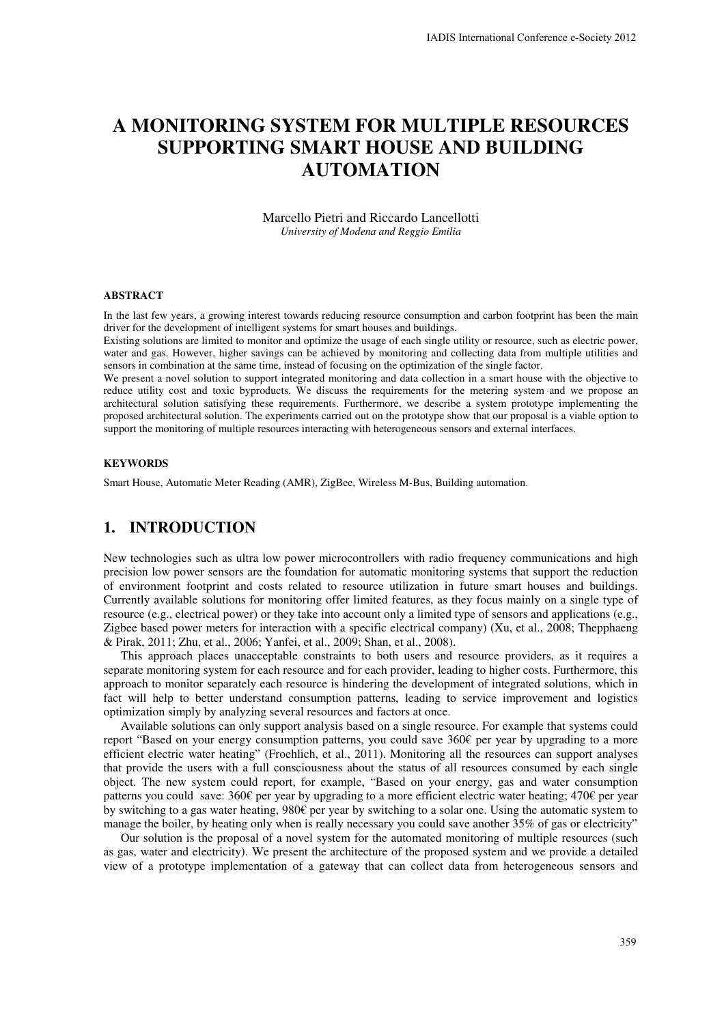# **A MONITORING SYSTEM FOR MULTIPLE RESOURCES SUPPORTING SMART HOUSE AND BUILDING AUTOMATION**

Marcello Pietri and Riccardo Lancellotti *University of Modena and Reggio Emilia* 

#### **ABSTRACT**

In the last few years, a growing interest towards reducing resource consumption and carbon footprint has been the main driver for the development of intelligent systems for smart houses and buildings.

Existing solutions are limited to monitor and optimize the usage of each single utility or resource, such as electric power, water and gas. However, higher savings can be achieved by monitoring and collecting data from multiple utilities and sensors in combination at the same time, instead of focusing on the optimization of the single factor.

We present a novel solution to support integrated monitoring and data collection in a smart house with the objective to reduce utility cost and toxic byproducts. We discuss the requirements for the metering system and we propose an architectural solution satisfying these requirements. Furthermore, we describe a system prototype implementing the proposed architectural solution. The experiments carried out on the prototype show that our proposal is a viable option to support the monitoring of multiple resources interacting with heterogeneous sensors and external interfaces.

#### **KEYWORDS**

Smart House, Automatic Meter Reading (AMR), ZigBee, Wireless M-Bus, Building automation.

# **1. INTRODUCTION**

New technologies such as ultra low power microcontrollers with radio frequency communications and high precision low power sensors are the foundation for automatic monitoring systems that support the reduction of environment footprint and costs related to resource utilization in future smart houses and buildings. Currently available solutions for monitoring offer limited features, as they focus mainly on a single type of resource (e.g., electrical power) or they take into account only a limited type of sensors and applications (e.g., Zigbee based power meters for interaction with a specific electrical company) (Xu, et al., 2008; Thepphaeng & Pirak, 2011; Zhu, et al., 2006; Yanfei, et al., 2009; Shan, et al., 2008).

This approach places unacceptable constraints to both users and resource providers, as it requires a separate monitoring system for each resource and for each provider, leading to higher costs. Furthermore, this approach to monitor separately each resource is hindering the development of integrated solutions, which in fact will help to better understand consumption patterns, leading to service improvement and logistics optimization simply by analyzing several resources and factors at once.

Available solutions can only support analysis based on a single resource. For example that systems could report "Based on your energy consumption patterns, you could save 360€ per year by upgrading to a more efficient electric water heating" (Froehlich, et al., 2011). Monitoring all the resources can support analyses that provide the users with a full consciousness about the status of all resources consumed by each single object. The new system could report, for example, "Based on your energy, gas and water consumption patterns you could save: 360€ per year by upgrading to a more efficient electric water heating; 470€ per year by switching to a gas water heating, 980€ per year by switching to a solar one. Using the automatic system to manage the boiler, by heating only when is really necessary you could save another 35% of gas or electricity"

Our solution is the proposal of a novel system for the automated monitoring of multiple resources (such as gas, water and electricity). We present the architecture of the proposed system and we provide a detailed view of a prototype implementation of a gateway that can collect data from heterogeneous sensors and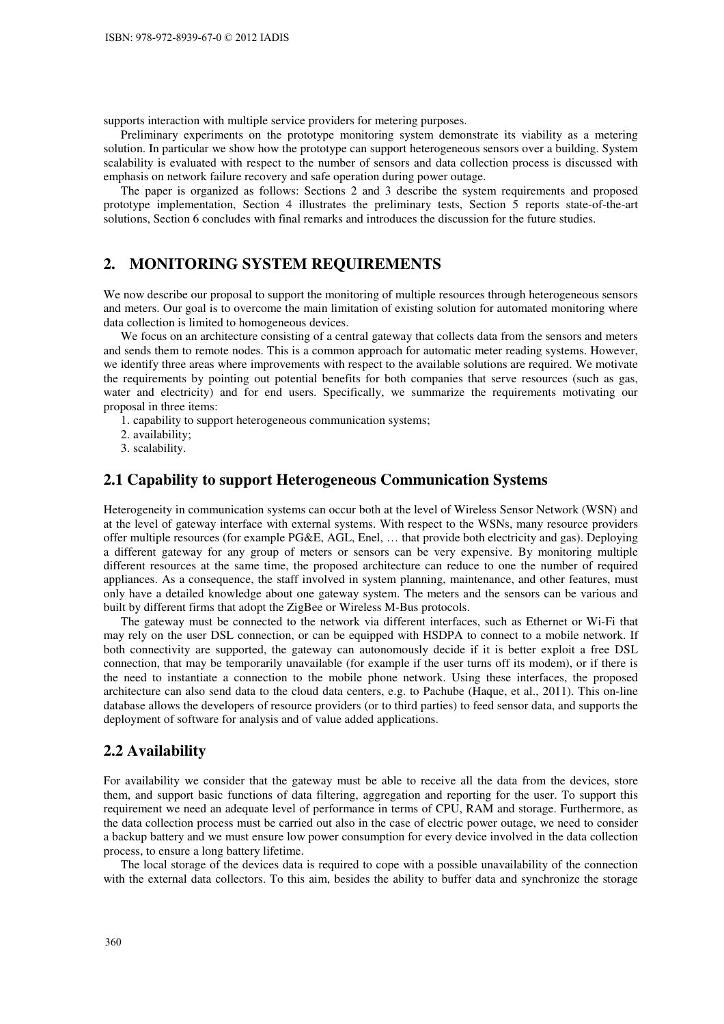supports interaction with multiple service providers for metering purposes.

Preliminary experiments on the prototype monitoring system demonstrate its viability as a metering solution. In particular we show how the prototype can support heterogeneous sensors over a building. System scalability is evaluated with respect to the number of sensors and data collection process is discussed with emphasis on network failure recovery and safe operation during power outage.

The paper is organized as follows: Sections 2 and 3 describe the system requirements and proposed prototype implementation, Section 4 illustrates the preliminary tests, Section 5 reports state-of-the-art solutions, Section 6 concludes with final remarks and introduces the discussion for the future studies.

### **2. MONITORING SYSTEM REQUIREMENTS**

We now describe our proposal to support the monitoring of multiple resources through heterogeneous sensors and meters. Our goal is to overcome the main limitation of existing solution for automated monitoring where data collection is limited to homogeneous devices.

We focus on an architecture consisting of a central gateway that collects data from the sensors and meters and sends them to remote nodes. This is a common approach for automatic meter reading systems. However, we identify three areas where improvements with respect to the available solutions are required. We motivate the requirements by pointing out potential benefits for both companies that serve resources (such as gas, water and electricity) and for end users. Specifically, we summarize the requirements motivating our proposal in three items:

1. capability to support heterogeneous communication systems;

2. availability;

3. scalability.

### **2.1 Capability to support Heterogeneous Communication Systems**

Heterogeneity in communication systems can occur both at the level of Wireless Sensor Network (WSN) and at the level of gateway interface with external systems. With respect to the WSNs, many resource providers offer multiple resources (for example PG&E, AGL, Enel, … that provide both electricity and gas). Deploying a different gateway for any group of meters or sensors can be very expensive. By monitoring multiple different resources at the same time, the proposed architecture can reduce to one the number of required appliances. As a consequence, the staff involved in system planning, maintenance, and other features, must only have a detailed knowledge about one gateway system. The meters and the sensors can be various and built by different firms that adopt the ZigBee or Wireless M-Bus protocols.

The gateway must be connected to the network via different interfaces, such as Ethernet or Wi-Fi that may rely on the user DSL connection, or can be equipped with HSDPA to connect to a mobile network. If both connectivity are supported, the gateway can autonomously decide if it is better exploit a free DSL connection, that may be temporarily unavailable (for example if the user turns off its modem), or if there is the need to instantiate a connection to the mobile phone network. Using these interfaces, the proposed architecture can also send data to the cloud data centers, e.g. to Pachube (Haque, et al., 2011). This on-line database allows the developers of resource providers (or to third parties) to feed sensor data, and supports the deployment of software for analysis and of value added applications.

#### **2.2 Availability**

For availability we consider that the gateway must be able to receive all the data from the devices, store them, and support basic functions of data filtering, aggregation and reporting for the user. To support this requirement we need an adequate level of performance in terms of CPU, RAM and storage. Furthermore, as the data collection process must be carried out also in the case of electric power outage, we need to consider a backup battery and we must ensure low power consumption for every device involved in the data collection process, to ensure a long battery lifetime.

The local storage of the devices data is required to cope with a possible unavailability of the connection with the external data collectors. To this aim, besides the ability to buffer data and synchronize the storage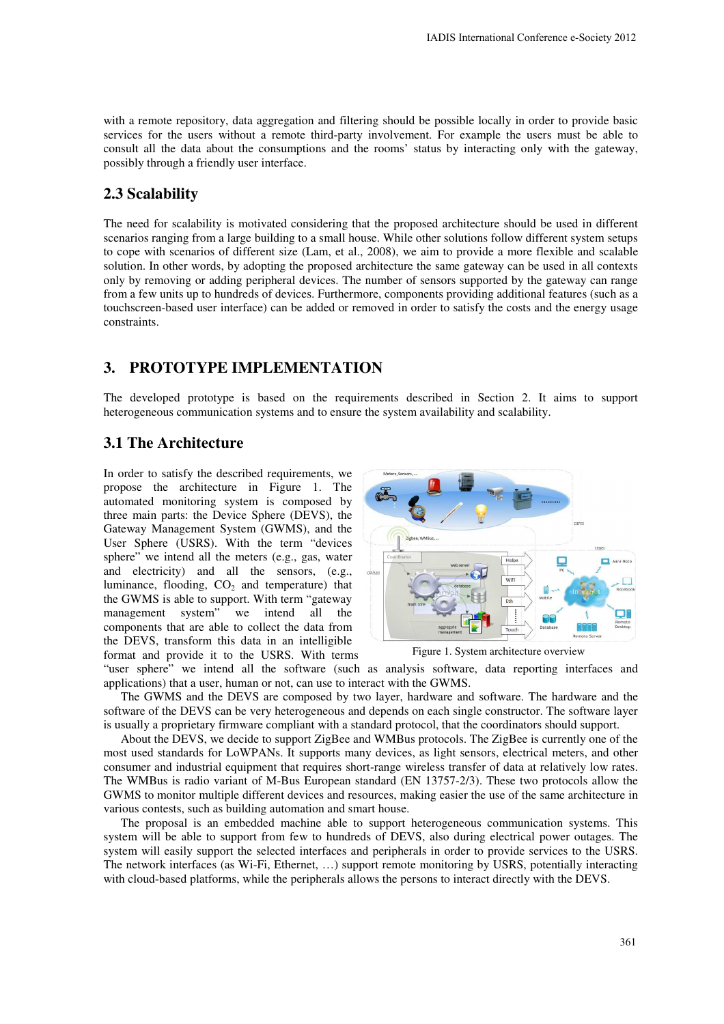with a remote repository, data aggregation and filtering should be possible locally in order to provide basic services for the users without a remote third-party involvement. For example the users must be able to consult all the data about the consumptions and the rooms' status by interacting only with the gateway, possibly through a friendly user interface.

## **2.3 Scalability**

The need for scalability is motivated considering that the proposed architecture should be used in different scenarios ranging from a large building to a small house. While other solutions follow different system setups to cope with scenarios of different size (Lam, et al., 2008), we aim to provide a more flexible and scalable solution. In other words, by adopting the proposed architecture the same gateway can be used in all contexts only by removing or adding peripheral devices. The number of sensors supported by the gateway can range from a few units up to hundreds of devices. Furthermore, components providing additional features (such as a touchscreen-based user interface) can be added or removed in order to satisfy the costs and the energy usage constraints.

# **3. PROTOTYPE IMPLEMENTATION**

The developed prototype is based on the requirements described in Section 2. It aims to support heterogeneous communication systems and to ensure the system availability and scalability.

## **3.1 The Architecture**

In order to satisfy the described requirements, we propose the architecture in Figure 1. The automated monitoring system is composed by three main parts: the Device Sphere (DEVS), the Gateway Management System (GWMS), and the User Sphere (USRS). With the term "devices sphere" we intend all the meters (e.g., gas, water and electricity) and all the sensors, (e.g., luminance, flooding,  $CO<sub>2</sub>$  and temperature) that the GWMS is able to support. With term "gateway management system" we intend all the components that are able to collect the data from the DEVS, transform this data in an intelligible format and provide it to the USRS. With terms





"user sphere" we intend all the software (such as analysis software, data reporting interfaces and applications) that a user, human or not, can use to interact with the GWMS.

The GWMS and the DEVS are composed by two layer, hardware and software. The hardware and the software of the DEVS can be very heterogeneous and depends on each single constructor. The software layer is usually a proprietary firmware compliant with a standard protocol, that the coordinators should support.

About the DEVS, we decide to support ZigBee and WMBus protocols. The ZigBee is currently one of the most used standards for LoWPANs. It supports many devices, as light sensors, electrical meters, and other consumer and industrial equipment that requires short-range wireless transfer of data at relatively low rates. The WMBus is radio variant of M-Bus European standard (EN 13757-2/3). These two protocols allow the GWMS to monitor multiple different devices and resources, making easier the use of the same architecture in various contests, such as building automation and smart house.

The proposal is an embedded machine able to support heterogeneous communication systems. This system will be able to support from few to hundreds of DEVS, also during electrical power outages. The system will easily support the selected interfaces and peripherals in order to provide services to the USRS. The network interfaces (as Wi-Fi, Ethernet, …) support remote monitoring by USRS, potentially interacting with cloud-based platforms, while the peripherals allows the persons to interact directly with the DEVS.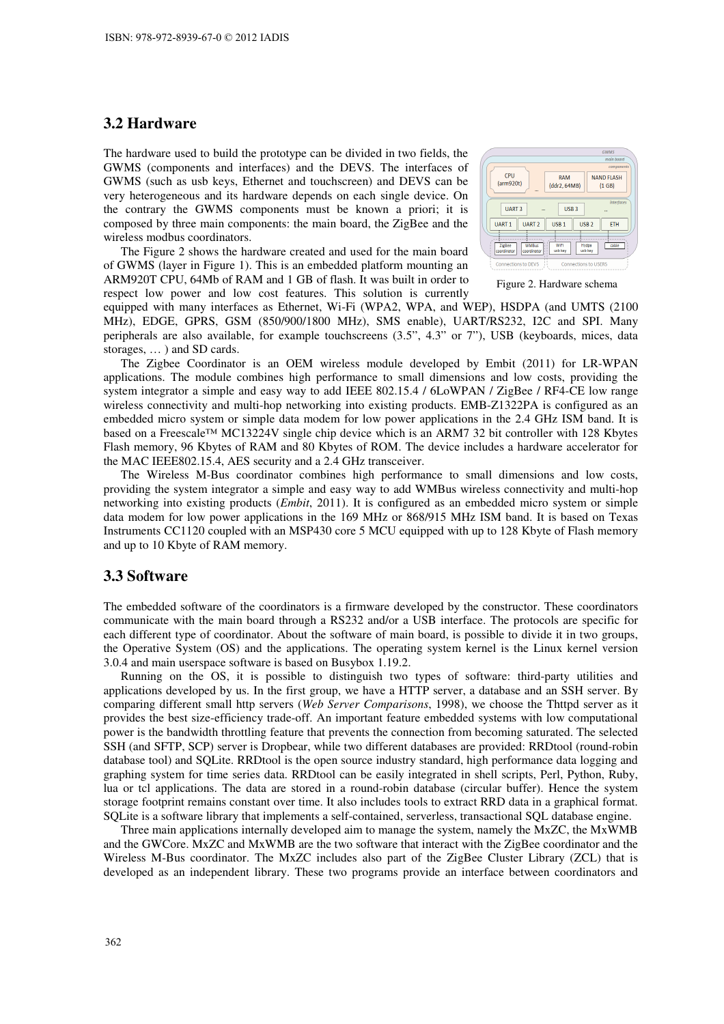### **3.2 Hardware**

The hardware used to build the prototype can be divided in two fields, the GWMS (components and interfaces) and the DEVS. The interfaces of GWMS (such as usb keys, Ethernet and touchscreen) and DEVS can be very heterogeneous and its hardware depends on each single device. On the contrary the GWMS components must be known a priori; it is composed by three main components: the main board, the ZigBee and the wireless modbus coordinators.

The Figure 2 shows the hardware created and used for the main board of GWMS (layer in Figure 1). This is an embedded platform mounting an ARM920T CPU, 64Mb of RAM and 1 GB of flash. It was built in order to respect low power and low cost features. This solution is currently



Figure 2. Hardware schema

equipped with many interfaces as Ethernet, Wi-Fi (WPA2, WPA, and WEP), HSDPA (and UMTS (2100 MHz), EDGE, GPRS, GSM (850/900/1800 MHz), SMS enable), UART/RS232, I2C and SPI. Many peripherals are also available, for example touchscreens (3.5", 4.3" or 7"), USB (keyboards, mices, data storages, … ) and SD cards.

The Zigbee Coordinator is an OEM wireless module developed by Embit (2011) for LR-WPAN applications. The module combines high performance to small dimensions and low costs, providing the system integrator a simple and easy way to add IEEE 802.15.4 / 6LoWPAN / ZigBee / RF4-CE low range wireless connectivity and multi-hop networking into existing products. EMB-Z1322PA is configured as an embedded micro system or simple data modem for low power applications in the 2.4 GHz ISM band. It is based on a Freescale™ MC13224V single chip device which is an ARM7 32 bit controller with 128 Kbytes Flash memory, 96 Kbytes of RAM and 80 Kbytes of ROM. The device includes a hardware accelerator for the MAC IEEE802.15.4, AES security and a 2.4 GHz transceiver.

The Wireless M-Bus coordinator combines high performance to small dimensions and low costs, providing the system integrator a simple and easy way to add WMBus wireless connectivity and multi-hop networking into existing products (*Embit*, 2011). It is configured as an embedded micro system or simple data modem for low power applications in the 169 MHz or 868/915 MHz ISM band. It is based on Texas Instruments CC1120 coupled with an MSP430 core 5 MCU equipped with up to 128 Kbyte of Flash memory and up to 10 Kbyte of RAM memory.

#### **3.3 Software**

The embedded software of the coordinators is a firmware developed by the constructor. These coordinators communicate with the main board through a RS232 and/or a USB interface. The protocols are specific for each different type of coordinator. About the software of main board, is possible to divide it in two groups, the Operative System (OS) and the applications. The operating system kernel is the Linux kernel version 3.0.4 and main userspace software is based on Busybox 1.19.2.

Running on the OS, it is possible to distinguish two types of software: third-party utilities and applications developed by us. In the first group, we have a HTTP server, a database and an SSH server. By comparing different small http servers (*Web Server Comparisons*, 1998), we choose the Thttpd server as it provides the best size-efficiency trade-off. An important feature embedded systems with low computational power is the bandwidth throttling feature that prevents the connection from becoming saturated. The selected SSH (and SFTP, SCP) server is Dropbear, while two different databases are provided: RRDtool (round-robin database tool) and SQLite. RRDtool is the open source industry standard, high performance data logging and graphing system for time series data. RRDtool can be easily integrated in shell scripts, Perl, Python, Ruby, lua or tcl applications. The data are stored in a round-robin database (circular buffer). Hence the system storage footprint remains constant over time. It also includes tools to extract RRD data in a graphical format. SQLite is a software library that implements a self-contained, serverless, transactional SQL database engine.

Three main applications internally developed aim to manage the system, namely the MxZC, the MxWMB and the GWCore. MxZC and MxWMB are the two software that interact with the ZigBee coordinator and the Wireless M-Bus coordinator. The MxZC includes also part of the ZigBee Cluster Library (ZCL) that is developed as an independent library. These two programs provide an interface between coordinators and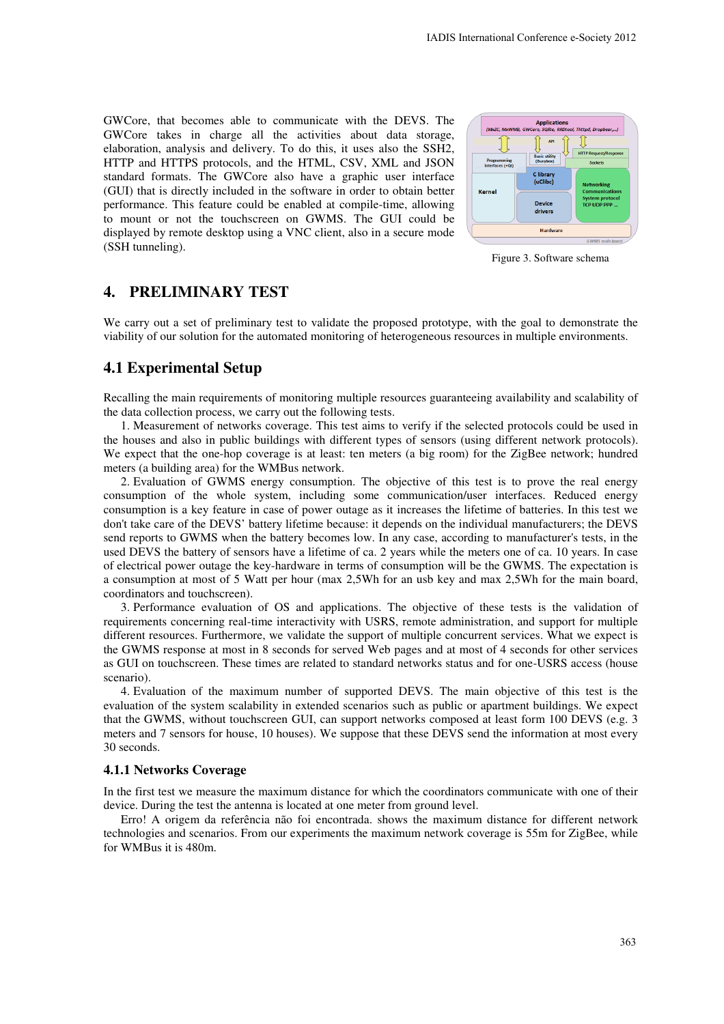GWCore, that becomes able to communicate with the DEVS. The GWCore takes in charge all the activities about data storage, elaboration, analysis and delivery. To do this, it uses also the SSH2, HTTP and HTTPS protocols, and the HTML, CSV, XML and JSON standard formats. The GWCore also have a graphic user interface (GUI) that is directly included in the software in order to obtain better performance. This feature could be enabled at compile-time, allowing to mount or not the touchscreen on GWMS. The GUI could be displayed by remote desktop using a VNC client, also in a secure mode (SSH tunneling).



Figure 3. Software schema

# **4. PRELIMINARY TEST**

We carry out a set of preliminary test to validate the proposed prototype, with the goal to demonstrate the viability of our solution for the automated monitoring of heterogeneous resources in multiple environments.

# **4.1 Experimental Setup**

Recalling the main requirements of monitoring multiple resources guaranteeing availability and scalability of the data collection process, we carry out the following tests.

1. Measurement of networks coverage. This test aims to verify if the selected protocols could be used in the houses and also in public buildings with different types of sensors (using different network protocols). We expect that the one-hop coverage is at least: ten meters (a big room) for the ZigBee network; hundred meters (a building area) for the WMBus network.

2. Evaluation of GWMS energy consumption. The objective of this test is to prove the real energy consumption of the whole system, including some communication/user interfaces. Reduced energy consumption is a key feature in case of power outage as it increases the lifetime of batteries. In this test we don't take care of the DEVS' battery lifetime because: it depends on the individual manufacturers; the DEVS send reports to GWMS when the battery becomes low. In any case, according to manufacturer's tests, in the used DEVS the battery of sensors have a lifetime of ca. 2 years while the meters one of ca. 10 years. In case of electrical power outage the key-hardware in terms of consumption will be the GWMS. The expectation is a consumption at most of 5 Watt per hour (max 2,5Wh for an usb key and max 2,5Wh for the main board, coordinators and touchscreen).

3. Performance evaluation of OS and applications. The objective of these tests is the validation of requirements concerning real-time interactivity with USRS, remote administration, and support for multiple different resources. Furthermore, we validate the support of multiple concurrent services. What we expect is the GWMS response at most in 8 seconds for served Web pages and at most of 4 seconds for other services as GUI on touchscreen. These times are related to standard networks status and for one-USRS access (house scenario).

4. Evaluation of the maximum number of supported DEVS. The main objective of this test is the evaluation of the system scalability in extended scenarios such as public or apartment buildings. We expect that the GWMS, without touchscreen GUI, can support networks composed at least form 100 DEVS (e.g. 3 meters and 7 sensors for house, 10 houses). We suppose that these DEVS send the information at most every 30 seconds.

#### **4.1.1 Networks Coverage**

In the first test we measure the maximum distance for which the coordinators communicate with one of their device. During the test the antenna is located at one meter from ground level.

Erro! A origem da referência não foi encontrada. shows the maximum distance for different network technologies and scenarios. From our experiments the maximum network coverage is 55m for ZigBee, while for WMBus it is 480m.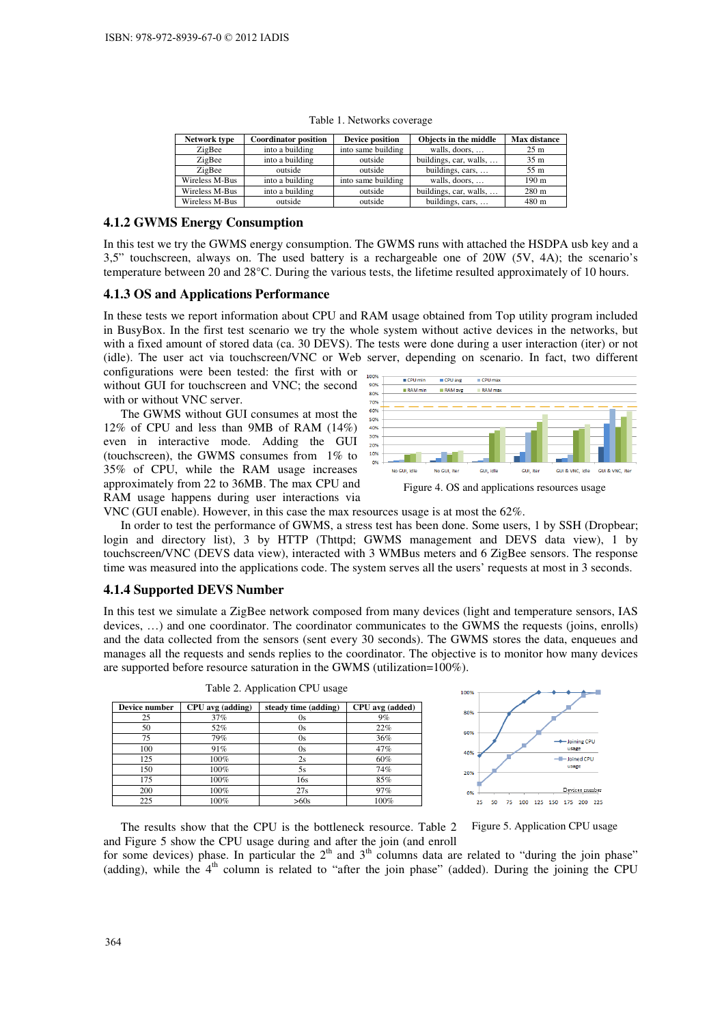| Network type   | <b>Coordinator position</b> | <b>Device position</b> | Objects in the middle  | <b>Max distance</b> |
|----------------|-----------------------------|------------------------|------------------------|---------------------|
| ZigBee         | into a building             | into same building     | walls, doors,          | 25 <sub>m</sub>     |
| ZigBee         | into a building             | outside                | buildings, car, walls, | 35 <sub>m</sub>     |
| ZigBee         | outside                     | outside                | buildings, cars,       | 55 m                |
| Wireless M-Bus | into a building             | into same building     | walls, doors,          | 190 <sub>m</sub>    |
| Wireless M-Bus | into a building             | outside                | buildings, car, walls, | 280 <sub>m</sub>    |
| Wireless M-Bus | outside                     | outside                | buildings, cars,       | 480 m               |

Table 1. Networks coverage

#### **4.1.2 GWMS Energy Consumption**

In this test we try the GWMS energy consumption. The GWMS runs with attached the HSDPA usb key and a 3,5" touchscreen, always on. The used battery is a rechargeable one of 20W (5V, 4A); the scenario's temperature between 20 and 28°C. During the various tests, the lifetime resulted approximately of 10 hours.

#### **4.1.3 OS and Applications Performance**

In these tests we report information about CPU and RAM usage obtained from Top utility program included in BusyBox. In the first test scenario we try the whole system without active devices in the networks, but with a fixed amount of stored data (ca. 30 DEVS). The tests were done during a user interaction (iter) or not (idle). The user act via touchscreen/VNC or Web server, depending on scenario. In fact, two different

configurations were been tested: the first with or without GUI for touchscreen and VNC; the second with or without VNC server.

The GWMS without GUI consumes at most the 12% of CPU and less than 9MB of RAM (14%) even in interactive mode. Adding the GUI (touchscreen), the GWMS consumes from 1% to 35% of CPU, while the RAM usage increases approximately from 22 to 36MB. The max CPU and RAM usage happens during user interactions via



VNC (GUI enable). However, in this case the max resources usage is at most the 62%.

In order to test the performance of GWMS, a stress test has been done. Some users, 1 by SSH (Dropbear; login and directory list), 3 by HTTP (Thttpd; GWMS management and DEVS data view), 1 by touchscreen/VNC (DEVS data view), interacted with 3 WMBus meters and 6 ZigBee sensors. The response time was measured into the applications code. The system serves all the users' requests at most in 3 seconds.

#### **4.1.4 Supported DEVS Number**

In this test we simulate a ZigBee network composed from many devices (light and temperature sensors, IAS devices, …) and one coordinator. The coordinator communicates to the GWMS the requests (joins, enrolls) and the data collected from the sensors (sent every 30 seconds). The GWMS stores the data, enqueues and manages all the requests and sends replies to the coordinator. The objective is to monitor how many devices are supported before resource saturation in the GWMS (utilization=100%).

| Device number | CPU avg (adding) | steady time (adding) | CPU avg (added) |  |  |
|---------------|------------------|----------------------|-----------------|--|--|
| 25            | 37%              | 0s                   | 9%              |  |  |
| 50            | 52%              | 0s                   | 22%             |  |  |
| 75            | 79%              | 0s                   | 36%             |  |  |
| 100           | 91%              | 0s                   | 47%             |  |  |
| 125           | 100%             | 2s                   | 60%             |  |  |
| 150           | 100%             | 5s                   | 74%             |  |  |
| 175           | 100%             | 16s                  | 85%             |  |  |
| 200           | 100%             | 27s                  | 97%             |  |  |
| 225           | 100%             | >60s                 | 100%            |  |  |



Table 2. Application CPU usage

Figure 5. Application CPU usage

The results show that the CPU is the bottleneck resource. Table 2 and Figure 5 show the CPU usage during and after the join (and enroll

for some devices) phase. In particular the  $2<sup>th</sup>$  and  $3<sup>th</sup>$  columns data are related to "during the join phase" (adding), while the  $4<sup>th</sup>$  column is related to "after the join phase" (added). During the joining the CPU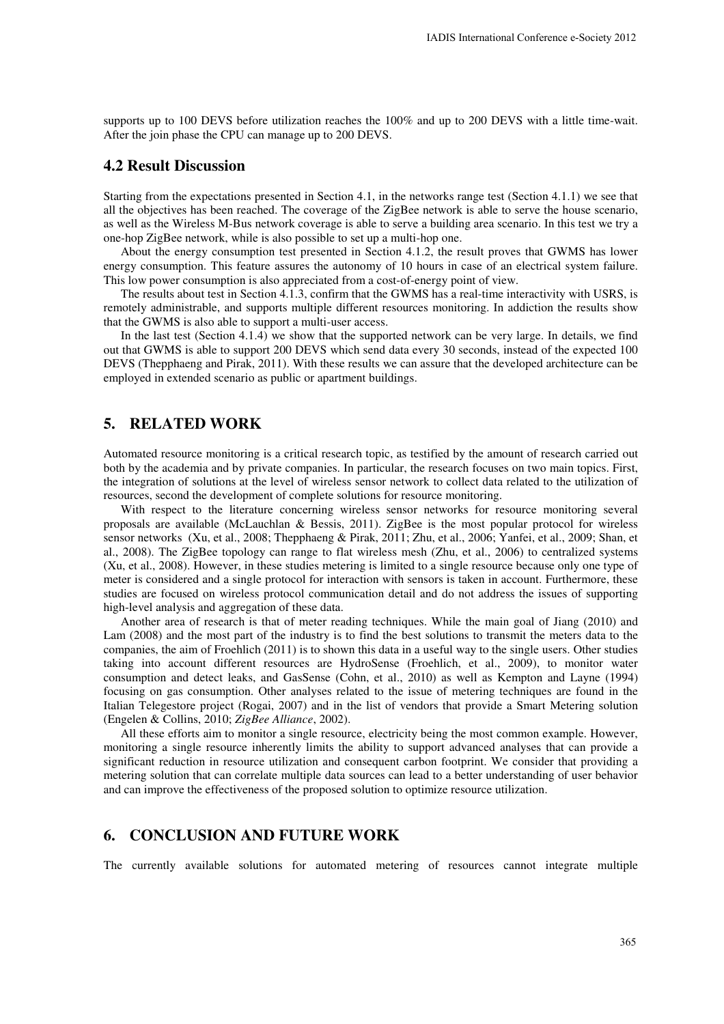supports up to 100 DEVS before utilization reaches the 100% and up to 200 DEVS with a little time-wait. After the join phase the CPU can manage up to 200 DEVS.

### **4.2 Result Discussion**

Starting from the expectations presented in Section 4.1, in the networks range test (Section 4.1.1) we see that all the objectives has been reached. The coverage of the ZigBee network is able to serve the house scenario, as well as the Wireless M-Bus network coverage is able to serve a building area scenario. In this test we try a one-hop ZigBee network, while is also possible to set up a multi-hop one.

About the energy consumption test presented in Section 4.1.2, the result proves that GWMS has lower energy consumption. This feature assures the autonomy of 10 hours in case of an electrical system failure. This low power consumption is also appreciated from a cost-of-energy point of view.

The results about test in Section 4.1.3, confirm that the GWMS has a real-time interactivity with USRS, is remotely administrable, and supports multiple different resources monitoring. In addiction the results show that the GWMS is also able to support a multi-user access.

In the last test (Section 4.1.4) we show that the supported network can be very large. In details, we find out that GWMS is able to support 200 DEVS which send data every 30 seconds, instead of the expected 100 DEVS (Thepphaeng and Pirak, 2011). With these results we can assure that the developed architecture can be employed in extended scenario as public or apartment buildings.

### **5. RELATED WORK**

Automated resource monitoring is a critical research topic, as testified by the amount of research carried out both by the academia and by private companies. In particular, the research focuses on two main topics. First, the integration of solutions at the level of wireless sensor network to collect data related to the utilization of resources, second the development of complete solutions for resource monitoring.

With respect to the literature concerning wireless sensor networks for resource monitoring several proposals are available (McLauchlan & Bessis, 2011). ZigBee is the most popular protocol for wireless sensor networks (Xu, et al., 2008; Thepphaeng & Pirak, 2011; Zhu, et al., 2006; Yanfei, et al., 2009; Shan, et al., 2008). The ZigBee topology can range to flat wireless mesh (Zhu, et al., 2006) to centralized systems (Xu, et al., 2008). However, in these studies metering is limited to a single resource because only one type of meter is considered and a single protocol for interaction with sensors is taken in account. Furthermore, these studies are focused on wireless protocol communication detail and do not address the issues of supporting high-level analysis and aggregation of these data.

Another area of research is that of meter reading techniques. While the main goal of Jiang (2010) and Lam (2008) and the most part of the industry is to find the best solutions to transmit the meters data to the companies, the aim of Froehlich (2011) is to shown this data in a useful way to the single users. Other studies taking into account different resources are HydroSense (Froehlich, et al., 2009), to monitor water consumption and detect leaks, and GasSense (Cohn, et al., 2010) as well as Kempton and Layne (1994) focusing on gas consumption. Other analyses related to the issue of metering techniques are found in the Italian Telegestore project (Rogai, 2007) and in the list of vendors that provide a Smart Metering solution (Engelen & Collins, 2010; *ZigBee Alliance*, 2002).

All these efforts aim to monitor a single resource, electricity being the most common example. However, monitoring a single resource inherently limits the ability to support advanced analyses that can provide a significant reduction in resource utilization and consequent carbon footprint. We consider that providing a metering solution that can correlate multiple data sources can lead to a better understanding of user behavior and can improve the effectiveness of the proposed solution to optimize resource utilization.

### **6. CONCLUSION AND FUTURE WORK**

The currently available solutions for automated metering of resources cannot integrate multiple